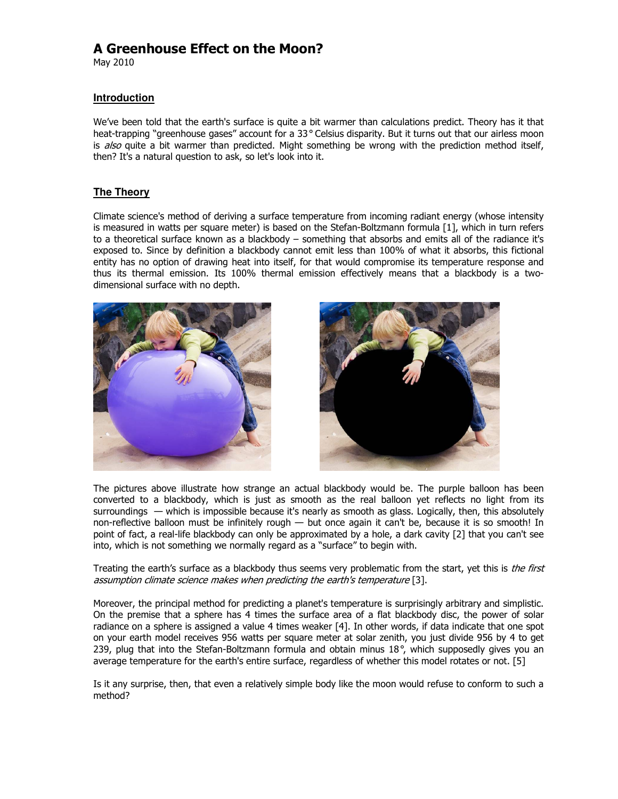# A Greenhouse Effect on the Moon?

May 2010

## **Introduction**

We've been told that the earth's surface is quite a bit warmer than calculations predict. Theory has it that heat-trapping "greenhouse gases" account for a 33**°** Celsius disparity. But it turns out that our airless moon is also quite a bit warmer than predicted. Might something be wrong with the prediction method itself, then? It's a natural question to ask, so let's look into it.

## **The Theory**

Climate science's method of deriving a surface temperature from incoming radiant energy (whose intensity is measured in watts per square meter) is based on the Stefan-Boltzmann formula [1], which in turn refers to a theoretical surface known as a blackbody – something that absorbs and emits all of the radiance it's exposed to. Since by definition a blackbody cannot emit less than 100% of what it absorbs, this fictional entity has no option of drawing heat into itself, for that would compromise its temperature response and thus its thermal emission. Its 100% thermal emission effectively means that a blackbody is a twodimensional surface with no depth.





The pictures above illustrate how strange an actual blackbody would be. The purple balloon has been converted to a blackbody, which is just as smooth as the real balloon yet reflects no light from its surroundings — which is impossible because it's nearly as smooth as glass. Logically, then, this absolutely non-reflective balloon must be infinitely rough — but once again it can't be, because it is so smooth! In point of fact, a real-life blackbody can only be approximated by a hole, a dark cavity [2] that you can't see into, which is not something we normally regard as a "surface" to begin with.

Treating the earth's surface as a blackbody thus seems very problematic from the start, yet this is the first assumption climate science makes when predicting the earth's temperature [3].

Moreover, the principal method for predicting a planet's temperature is surprisingly arbitrary and simplistic. On the premise that a sphere has 4 times the surface area of a flat blackbody disc, the power of solar radiance on a sphere is assigned a value 4 times weaker [4]. In other words, if data indicate that one spot on your earth model receives 956 watts per square meter at solar zenith, you just divide 956 by 4 to get 239, plug that into the Stefan-Boltzmann formula and obtain minus 18**°**, which supposedly gives you an average temperature for the earth's entire surface, regardless of whether this model rotates or not. [5]

Is it any surprise, then, that even a relatively simple body like the moon would refuse to conform to such a method?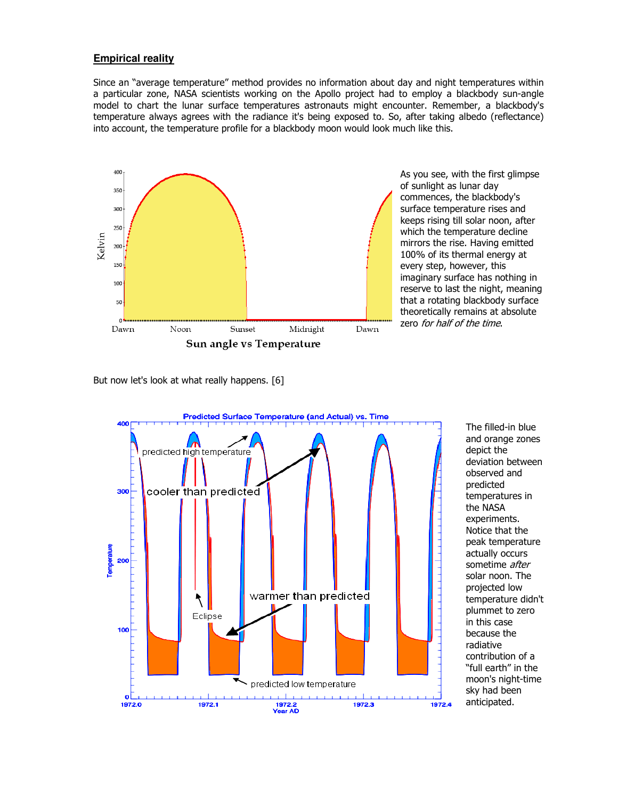## **Empirical reality**

Since an "average temperature" method provides no information about day and night temperatures within a particular zone, NASA scientists working on the Apollo project had to employ a blackbody sun-angle model to chart the lunar surface temperatures astronauts might encounter. Remember, a blackbody's temperature always agrees with the radiance it's being exposed to. So, after taking albedo (reflectance) into account, the temperature profile for a blackbody moon would look much like this.



As you see, with the first glimpse of sunlight as lunar day commences, the blackbody's surface temperature rises and keeps rising till solar noon, after which the temperature decline mirrors the rise. Having emitted 100% of its thermal energy at every step, however, this imaginary surface has nothing in reserve to last the night, meaning that a rotating blackbody surface theoretically remains at absolute zero for half of the time.

But now let's look at what really happens. [6]



The filled-in blue and orange zones depict the deviation between observed and predicted temperatures in the NASA experiments. Notice that the peak temperature actually occurs sometime after solar noon. The projected low temperature didn't plummet to zero in this case because the radiative contribution of a "full earth" in the moon's night-time sky had been anticipated.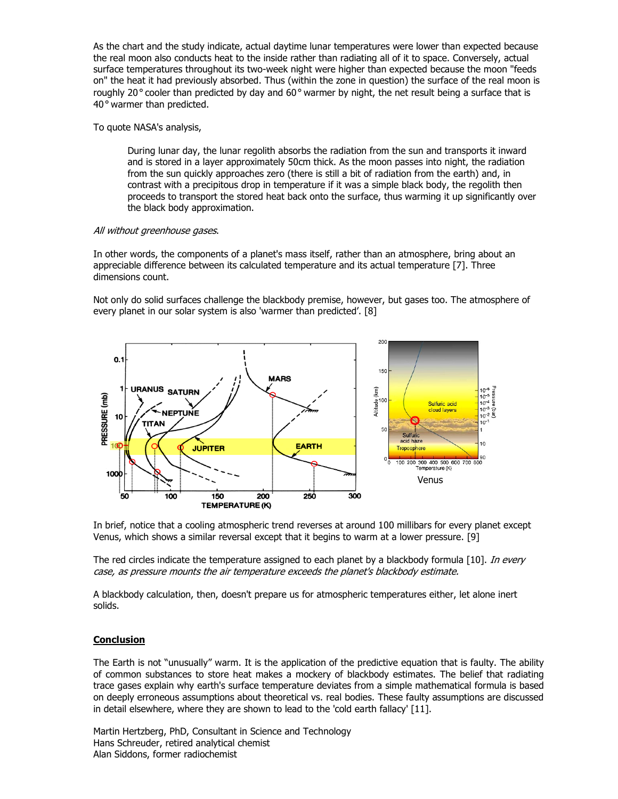As the chart and the study indicate, actual daytime lunar temperatures were lower than expected because the real moon also conducts heat to the inside rather than radiating all of it to space. Conversely, actual surface temperatures throughout its two-week night were higher than expected because the moon "feeds on" the heat it had previously absorbed. Thus (within the zone in question) the surface of the real moon is roughly 20**°** cooler than predicted by day and 60**°** warmer by night, the net result being a surface that is 40**°** warmer than predicted.

### To quote NASA's analysis,

During lunar day, the lunar regolith absorbs the radiation from the sun and transports it inward and is stored in a layer approximately 50cm thick. As the moon passes into night, the radiation from the sun quickly approaches zero (there is still a bit of radiation from the earth) and, in contrast with a precipitous drop in temperature if it was a simple black body, the regolith then proceeds to transport the stored heat back onto the surface, thus warming it up significantly over the black body approximation.

#### All without greenhouse gases.

In other words, the components of a planet's mass itself, rather than an atmosphere, bring about an appreciable difference between its calculated temperature and its actual temperature [7]. Three dimensions count.

Not only do solid surfaces challenge the blackbody premise, however, but gases too. The atmosphere of every planet in our solar system is also 'warmer than predicted'. [8]



In brief, notice that a cooling atmospheric trend reverses at around 100 millibars for every planet except Venus, which shows a similar reversal except that it begins to warm at a lower pressure. [9]

The red circles indicate the temperature assigned to each planet by a blackbody formula [10]. In every case, as pressure mounts the air temperature exceeds the planet's blackbody estimate.

A blackbody calculation, then, doesn't prepare us for atmospheric temperatures either, let alone inert solids.

### **Conclusion**

The Earth is not "unusually" warm. It is the application of the predictive equation that is faulty. The ability of common substances to store heat makes a mockery of blackbody estimates. The belief that radiating trace gases explain why earth's surface temperature deviates from a simple mathematical formula is based on deeply erroneous assumptions about theoretical vs. real bodies. These faulty assumptions are discussed in detail elsewhere, where they are shown to lead to the 'cold earth fallacy' [11].

Martin Hertzberg, PhD, Consultant in Science and Technology Hans Schreuder, retired analytical chemist Alan Siddons, former radiochemist